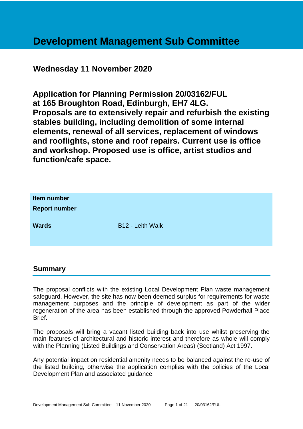# **Development Management Sub Committee**

## **Wednesday 11 November 2020**

**Application for Planning Permission 20/03162/FUL at 165 Broughton Road, Edinburgh, EH7 4LG. Proposals are to extensively repair and refurbish the existing stables building, including demolition of some internal elements, renewal of all services, replacement of windows and rooflights, stone and roof repairs. Current use is office and workshop. Proposed use is office, artist studios and function/cafe space.**

| Item number<br><b>Report number</b> |                         |
|-------------------------------------|-------------------------|
| <b>Wards</b>                        | <b>B12 - Leith Walk</b> |

#### **Summary**

The proposal conflicts with the existing Local Development Plan waste management safeguard. However, the site has now been deemed surplus for requirements for waste management purposes and the principle of development as part of the wider regeneration of the area has been established through the approved Powderhall Place Brief.

The proposals will bring a vacant listed building back into use whilst preserving the main features of architectural and historic interest and therefore as whole will comply with the Planning (Listed Buildings and Conservation Areas) (Scotland) Act 1997.

Any potential impact on residential amenity needs to be balanced against the re-use of the listed building, otherwise the application complies with the policies of the Local Development Plan and associated guidance.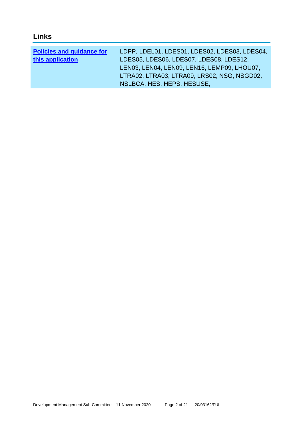## **Links**

| <b>Policies and guidance for</b> | LDPP, LDEL01, LDES01, LDES02, LDES03, LDES04, |
|----------------------------------|-----------------------------------------------|
| this application                 | LDES05, LDES06, LDES07, LDES08, LDES12,       |
|                                  | LEN03, LEN04, LEN09, LEN16, LEMP09, LHOU07,   |
|                                  | LTRA02, LTRA03, LTRA09, LRS02, NSG, NSGD02,   |
|                                  | NSLBCA, HES, HEPS, HESUSE,                    |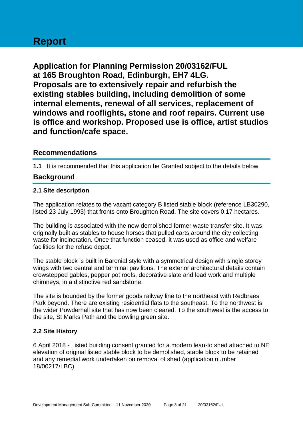# **Report**

**Application for Planning Permission 20/03162/FUL at 165 Broughton Road, Edinburgh, EH7 4LG. Proposals are to extensively repair and refurbish the existing stables building, including demolition of some internal elements, renewal of all services, replacement of windows and rooflights, stone and roof repairs. Current use is office and workshop. Proposed use is office, artist studios and function/cafe space.**

## **Recommendations**

**1.1** It is recommended that this application be Granted subject to the details below.

## **Background**

#### **2.1 Site description**

The application relates to the vacant category B listed stable block (reference LB30290, listed 23 July 1993) that fronts onto Broughton Road. The site covers 0.17 hectares.

The building is associated with the now demolished former waste transfer site. It was originally built as stables to house horses that pulled carts around the city collecting waste for incineration. Once that function ceased, it was used as office and welfare facilities for the refuse depot.

The stable block is built in Baronial style with a symmetrical design with single storey wings with two central and terminal pavilions. The exterior architectural details contain crowstepped gables, pepper pot roofs, decorative slate and lead work and multiple chimneys, in a distinctive red sandstone.

The site is bounded by the former goods railway line to the northeast with Redbraes Park beyond. There are existing residential flats to the southeast. To the northwest is the wider Powderhall site that has now been cleared. To the southwest is the access to the site, St Marks Path and the bowling green site.

#### **2.2 Site History**

6 April 2018 - Listed building consent granted for a modern lean-to shed attached to NE elevation of original listed stable block to be demolished, stable block to be retained and any remedial work undertaken on removal of shed (application number 18/00217/LBC)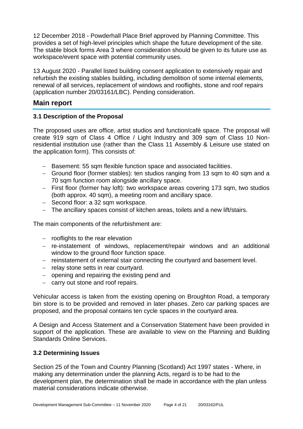12 December 2018 - Powderhall Place Brief approved by Planning Committee. This provides a set of high-level principles which shape the future development of the site. The stable block forms Area 3 where consideration should be given to its future use as workspace/event space with potential community uses.

13 August 2020 - Parallel listed building consent application to extensively repair and refurbish the existing stables building, including demolition of some internal elements, renewal of all services, replacement of windows and rooflights, stone and roof repairs (application number 20/03161/LBC). Pending consideration.

## **Main report**

#### **3.1 Description of the Proposal**

The proposed uses are office, artist studios and function/café space. The proposal will create 919 sqm of Class 4 Office / Light Industry and 309 sqm of Class 10 Nonresidential institution use (rather than the Class 11 Assembly & Leisure use stated on the application form). This consists of:

- − Basement: 55 sqm flexible function space and associated facilities.
- − Ground floor (former stables): ten studios ranging from 13 sqm to 40 sqm and a 70 sqm function room alongside ancillary space.
- − First floor (former hay loft): two workspace areas covering 173 sqm, two studios (both approx. 40 sqm), a meeting room and ancillary space.
- − Second floor: a 32 sqm workspace.
- − The ancillary spaces consist of kitchen areas, toilets and a new lift/stairs.

The main components of the refurbishment are:

- − rooflights to the rear elevation
- − re-instatement of windows, replacement/repair windows and an additional window to the ground floor function space.
- − reinstatement of external stair connecting the courtyard and basement level.
- − relay stone setts in rear courtyard.
- − opening and repairing the existing pend and
- − carry out stone and roof repairs.

Vehicular access is taken from the existing opening on Broughton Road, a temporary bin store is to be provided and removed in later phases. Zero car parking spaces are proposed, and the proposal contains ten cycle spaces in the courtyard area.

A Design and Access Statement and a Conservation Statement have been provided in support of the application. These are available to view on the Planning and Building Standards Online Services.

#### **3.2 Determining Issues**

Section 25 of the Town and Country Planning (Scotland) Act 1997 states - Where, in making any determination under the planning Acts, regard is to be had to the development plan, the determination shall be made in accordance with the plan unless material considerations indicate otherwise.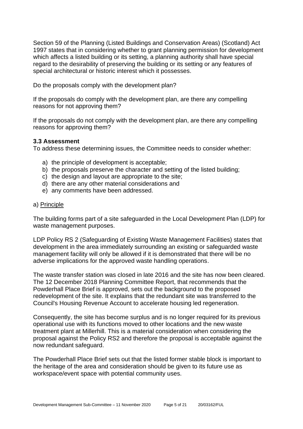Section 59 of the Planning (Listed Buildings and Conservation Areas) (Scotland) Act 1997 states that in considering whether to grant planning permission for development which affects a listed building or its setting, a planning authority shall have special regard to the desirability of preserving the building or its setting or any features of special architectural or historic interest which it possesses.

Do the proposals comply with the development plan?

If the proposals do comply with the development plan, are there any compelling reasons for not approving them?

If the proposals do not comply with the development plan, are there any compelling reasons for approving them?

#### **3.3 Assessment**

To address these determining issues, the Committee needs to consider whether:

- a) the principle of development is acceptable;
- b) the proposals preserve the character and setting of the listed building;
- c) the design and layout are appropriate to the site;
- d) there are any other material considerations and
- e) any comments have been addressed.

#### a) Principle

The building forms part of a site safeguarded in the Local Development Plan (LDP) for waste management purposes.

LDP Policy RS 2 (Safeguarding of Existing Waste Management Facilities) states that development in the area immediately surrounding an existing or safeguarded waste management facility will only be allowed if it is demonstrated that there will be no adverse implications for the approved waste handling operations.

The waste transfer station was closed in late 2016 and the site has now been cleared. The 12 December 2018 Planning Committee Report, that recommends that the Powderhall Place Brief is approved, sets out the background to the proposed redevelopment of the site. It explains that the redundant site was transferred to the Council's Housing Revenue Account to accelerate housing led regeneration.

Consequently, the site has become surplus and is no longer required for its previous operational use with its functions moved to other locations and the new waste treatment plant at Millerhill. This is a material consideration when considering the proposal against the Policy RS2 and therefore the proposal is acceptable against the now redundant safeguard.

The Powderhall Place Brief sets out that the listed former stable block is important to the heritage of the area and consideration should be given to its future use as workspace/event space with potential community uses.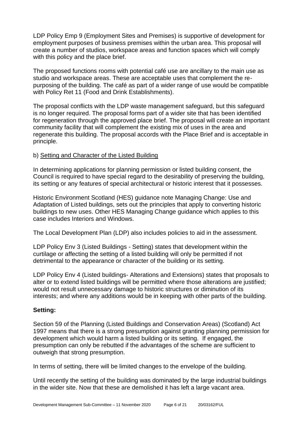LDP Policy Emp 9 (Employment Sites and Premises) is supportive of development for employment purposes of business premises within the urban area. This proposal will create a number of studios, workspace areas and function spaces which will comply with this policy and the place brief.

The proposed functions rooms with potential café use are ancillary to the main use as studio and workspace areas. These are acceptable uses that complement the repurposing of the building. The café as part of a wider range of use would be compatible with Policy Ret 11 (Food and Drink Establishments).

The proposal conflicts with the LDP waste management safeguard, but this safeguard is no longer required. The proposal forms part of a wider site that has been identified for regeneration through the approved place brief. The proposal will create an important community facility that will complement the existing mix of uses in the area and regenerate this building. The proposal accords with the Place Brief and is acceptable in principle.

#### b) Setting and Character of the Listed Building

In determining applications for planning permission or listed building consent, the Council is required to have special regard to the desirability of preserving the building, its setting or any features of special architectural or historic interest that it possesses.

Historic Environment Scotland (HES) guidance note Managing Change: Use and Adaptation of Listed buildings, sets out the principles that apply to converting historic buildings to new uses. Other HES Managing Change guidance which applies to this case includes Interiors and Windows.

The Local Development Plan (LDP) also includes policies to aid in the assessment.

LDP Policy Env 3 (Listed Buildings - Setting) states that development within the curtilage or affecting the setting of a listed building will only be permitted if not detrimental to the appearance or character of the building or its setting.

LDP Policy Env 4 (Listed buildings- Alterations and Extensions) states that proposals to alter or to extend listed buildings will be permitted where those alterations are justified; would not result unnecessary damage to historic structures or diminution of its interests; and where any additions would be in keeping with other parts of the building.

#### **Setting:**

Section 59 of the Planning (Listed Buildings and Conservation Areas) (Scotland) Act 1997 means that there is a strong presumption against granting planning permission for development which would harm a listed building or its setting. If engaged, the presumption can only be rebutted if the advantages of the scheme are sufficient to outweigh that strong presumption.

In terms of setting, there will be limited changes to the envelope of the building.

Until recently the setting of the building was dominated by the large industrial buildings in the wider site. Now that these are demolished it has left a large vacant area.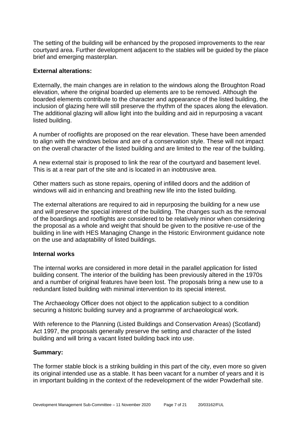The setting of the building will be enhanced by the proposed improvements to the rear courtyard area. Further development adjacent to the stables will be guided by the place brief and emerging masterplan.

#### **External alterations:**

Externally, the main changes are in relation to the windows along the Broughton Road elevation, where the original boarded up elements are to be removed. Although the boarded elements contribute to the character and appearance of the listed building, the inclusion of glazing here will still preserve the rhythm of the spaces along the elevation. The additional glazing will allow light into the building and aid in repurposing a vacant listed building.

A number of rooflights are proposed on the rear elevation. These have been amended to align with the windows below and are of a conservation style. These will not impact on the overall character of the listed building and are limited to the rear of the building.

A new external stair is proposed to link the rear of the courtyard and basement level. This is at a rear part of the site and is located in an inobtrusive area.

Other matters such as stone repairs, opening of infilled doors and the addition of windows will aid in enhancing and breathing new life into the listed building.

The external alterations are required to aid in repurposing the building for a new use and will preserve the special interest of the building. The changes such as the removal of the boardings and rooflights are considered to be relatively minor when considering the proposal as a whole and weight that should be given to the positive re-use of the building in line with HES Managing Change in the Historic Environment guidance note on the use and adaptability of listed buildings.

#### **Internal works**

The internal works are considered in more detail in the parallel application for listed building consent. The interior of the building has been previously altered in the 1970s and a number of original features have been lost. The proposals bring a new use to a redundant listed building with minimal intervention to its special interest.

The Archaeology Officer does not object to the application subject to a condition securing a historic building survey and a programme of archaeological work.

With reference to the Planning (Listed Buildings and Conservation Areas) (Scotland) Act 1997, the proposals generally preserve the setting and character of the listed building and will bring a vacant listed building back into use.

#### **Summary:**

The former stable block is a striking building in this part of the city, even more so given its original intended use as a stable. It has been vacant for a number of years and it is in important building in the context of the redevelopment of the wider Powderhall site.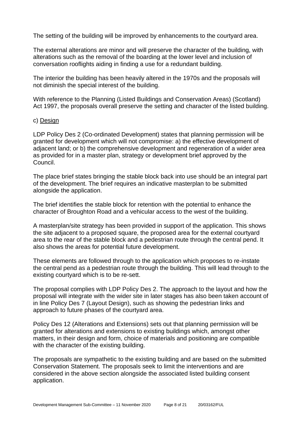The setting of the building will be improved by enhancements to the courtyard area.

The external alterations are minor and will preserve the character of the building, with alterations such as the removal of the boarding at the lower level and inclusion of conversation rooflights aiding in finding a use for a redundant building.

The interior the building has been heavily altered in the 1970s and the proposals will not diminish the special interest of the building.

With reference to the Planning (Listed Buildings and Conservation Areas) (Scotland) Act 1997, the proposals overall preserve the setting and character of the listed building.

#### c) Design

LDP Policy Des 2 (Co-ordinated Development) states that planning permission will be granted for development which will not compromise: a) the effective development of adjacent land; or b) the comprehensive development and regeneration of a wider area as provided for in a master plan, strategy or development brief approved by the Council.

The place brief states bringing the stable block back into use should be an integral part of the development. The brief requires an indicative masterplan to be submitted alongside the application.

The brief identifies the stable block for retention with the potential to enhance the character of Broughton Road and a vehicular access to the west of the building.

A masterplan/site strategy has been provided in support of the application. This shows the site adjacent to a proposed square, the proposed area for the external courtyard area to the rear of the stable block and a pedestrian route through the central pend. It also shows the areas for potential future development.

These elements are followed through to the application which proposes to re-instate the central pend as a pedestrian route through the building. This will lead through to the existing courtyard which is to be re-sett.

The proposal complies with LDP Policy Des 2. The approach to the layout and how the proposal will integrate with the wider site in later stages has also been taken account of in line Policy Des 7 (Layout Design), such as showing the pedestrian links and approach to future phases of the courtyard area.

Policy Des 12 (Alterations and Extensions) sets out that planning permission will be granted for alterations and extensions to existing buildings which, amongst other matters, in their design and form, choice of materials and positioning are compatible with the character of the existing building.

The proposals are sympathetic to the existing building and are based on the submitted Conservation Statement. The proposals seek to limit the interventions and are considered in the above section alongside the associated listed building consent application.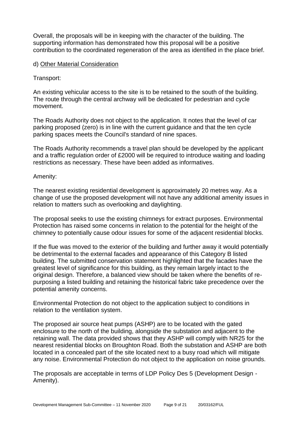Overall, the proposals will be in keeping with the character of the building. The supporting information has demonstrated how this proposal will be a positive contribution to the coordinated regeneration of the area as identified in the place brief.

#### d) Other Material Consideration

#### Transport:

An existing vehicular access to the site is to be retained to the south of the building. The route through the central archway will be dedicated for pedestrian and cycle movement.

The Roads Authority does not object to the application. It notes that the level of car parking proposed (zero) is in line with the current guidance and that the ten cycle parking spaces meets the Council's standard of nine spaces.

The Roads Authority recommends a travel plan should be developed by the applicant and a traffic regulation order of £2000 will be required to introduce waiting and loading restrictions as necessary. These have been added as informatives.

#### Amenity:

The nearest existing residential development is approximately 20 metres way. As a change of use the proposed development will not have any additional amenity issues in relation to matters such as overlooking and daylighting.

The proposal seeks to use the existing chimneys for extract purposes. Environmental Protection has raised some concerns in relation to the potential for the height of the chimney to potentially cause odour issues for some of the adjacent residential blocks.

If the flue was moved to the exterior of the building and further away it would potentially be detrimental to the external facades and appearance of this Category B listed building. The submitted conservation statement highlighted that the facades have the greatest level of significance for this building, as they remain largely intact to the original design. Therefore, a balanced view should be taken where the benefits of repurposing a listed building and retaining the historical fabric take precedence over the potential amenity concerns.

Environmental Protection do not object to the application subject to conditions in relation to the ventilation system.

The proposed air source heat pumps (ASHP) are to be located with the gated enclosure to the north of the building, alongside the substation and adjacent to the retaining wall. The data provided shows that they ASHP will comply with NR25 for the nearest residential blocks on Broughton Road. Both the substation and ASHP are both located in a concealed part of the site located next to a busy road which will mitigate any noise. Environmental Protection do not object to the application on noise grounds.

The proposals are acceptable in terms of LDP Policy Des 5 (Development Design - Amenity).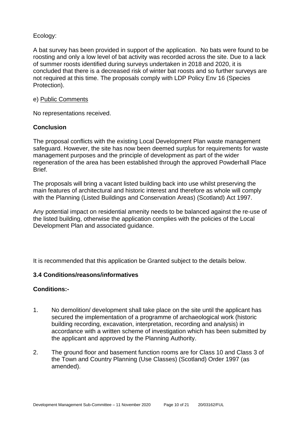#### Ecology:

A bat survey has been provided in support of the application. No bats were found to be roosting and only a low level of bat activity was recorded across the site. Due to a lack of summer roosts identified during surveys undertaken in 2018 and 2020, it is concluded that there is a decreased risk of winter bat roosts and so further surveys are not required at this time. The proposals comply with LDP Policy Env 16 (Species Protection).

#### e) Public Comments

No representations received.

#### **Conclusion**

The proposal conflicts with the existing Local Development Plan waste management safeguard. However, the site has now been deemed surplus for requirements for waste management purposes and the principle of development as part of the wider regeneration of the area has been established through the approved Powderhall Place Brief.

The proposals will bring a vacant listed building back into use whilst preserving the main features of architectural and historic interest and therefore as whole will comply with the Planning (Listed Buildings and Conservation Areas) (Scotland) Act 1997.

Any potential impact on residential amenity needs to be balanced against the re-use of the listed building, otherwise the application complies with the policies of the Local Development Plan and associated guidance.

It is recommended that this application be Granted subject to the details below.

#### **3.4 Conditions/reasons/informatives**

#### **Conditions:-**

- 1. No demolition/ development shall take place on the site until the applicant has secured the implementation of a programme of archaeological work (historic building recording, excavation, interpretation, recording and analysis) in accordance with a written scheme of investigation which has been submitted by the applicant and approved by the Planning Authority.
- 2. The ground floor and basement function rooms are for Class 10 and Class 3 of the Town and Country Planning (Use Classes) (Scotland) Order 1997 (as amended).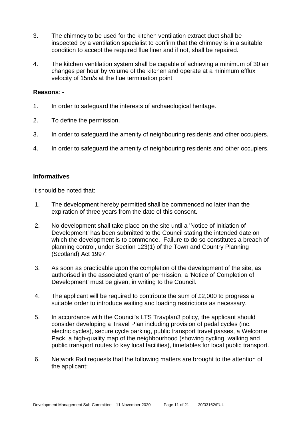- 3. The chimney to be used for the kitchen ventilation extract duct shall be inspected by a ventilation specialist to confirm that the chimney is in a suitable condition to accept the required flue liner and if not, shall be repaired.
- 4. The kitchen ventilation system shall be capable of achieving a minimum of 30 air changes per hour by volume of the kitchen and operate at a minimum efflux velocity of 15m/s at the flue termination point.

#### **Reasons**: -

- 1. In order to safeguard the interests of archaeological heritage.
- 2. To define the permission.
- 3. In order to safeguard the amenity of neighbouring residents and other occupiers.
- 4. In order to safeguard the amenity of neighbouring residents and other occupiers.

#### **Informatives**

It should be noted that:

- 1. The development hereby permitted shall be commenced no later than the expiration of three years from the date of this consent.
- 2. No development shall take place on the site until a 'Notice of Initiation of Development' has been submitted to the Council stating the intended date on which the development is to commence. Failure to do so constitutes a breach of planning control, under Section 123(1) of the Town and Country Planning (Scotland) Act 1997.
- 3. As soon as practicable upon the completion of the development of the site, as authorised in the associated grant of permission, a 'Notice of Completion of Development' must be given, in writing to the Council.
- 4. The applicant will be required to contribute the sum of £2,000 to progress a suitable order to introduce waiting and loading restrictions as necessary.
- 5. In accordance with the Council's LTS Travplan3 policy, the applicant should consider developing a Travel Plan including provision of pedal cycles (inc. electric cycles), secure cycle parking, public transport travel passes, a Welcome Pack, a high-quality map of the neighbourhood (showing cycling, walking and public transport routes to key local facilities), timetables for local public transport.
- 6. Network Rail requests that the following matters are brought to the attention of the applicant: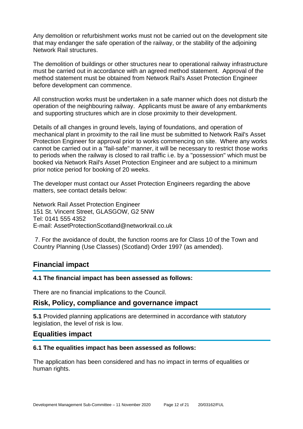Any demolition or refurbishment works must not be carried out on the development site that may endanger the safe operation of the railway, or the stability of the adjoining Network Rail structures.

The demolition of buildings or other structures near to operational railway infrastructure must be carried out in accordance with an agreed method statement. Approval of the method statement must be obtained from Network Rail's Asset Protection Engineer before development can commence.

All construction works must be undertaken in a safe manner which does not disturb the operation of the neighbouring railway. Applicants must be aware of any embankments and supporting structures which are in close proximity to their development.

Details of all changes in ground levels, laying of foundations, and operation of mechanical plant in proximity to the rail line must be submitted to Network Rail's Asset Protection Engineer for approval prior to works commencing on site. Where any works cannot be carried out in a "fail-safe" manner, it will be necessary to restrict those works to periods when the railway is closed to rail traffic i.e. by a "possession" which must be booked via Network Rail's Asset Protection Engineer and are subject to a minimum prior notice period for booking of 20 weeks.

The developer must contact our Asset Protection Engineers regarding the above matters, see contact details below:

Network Rail Asset Protection Engineer 151 St. Vincent Street, GLASGOW, G2 5NW Tel: 0141 555 4352 E-mail: AssetProtectionScotland@networkrail.co.uk

7. For the avoidance of doubt, the function rooms are for Class 10 of the Town and Country Planning (Use Classes) (Scotland) Order 1997 (as amended).

## **Financial impact**

#### **4.1 The financial impact has been assessed as follows:**

There are no financial implications to the Council.

#### **Risk, Policy, compliance and governance impact**

**5.1** Provided planning applications are determined in accordance with statutory legislation, the level of risk is low.

#### **Equalities impact**

#### **6.1 The equalities impact has been assessed as follows:**

The application has been considered and has no impact in terms of equalities or human rights.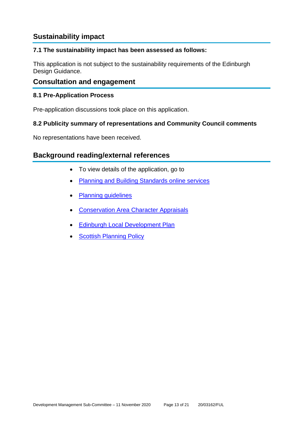## **Sustainability impact**

#### **7.1 The sustainability impact has been assessed as follows:**

This application is not subject to the sustainability requirements of the Edinburgh Design Guidance.

### **Consultation and engagement**

#### **8.1 Pre-Application Process**

Pre-application discussions took place on this application.

#### **8.2 Publicity summary of representations and Community Council comments**

No representations have been received.

## **Background reading/external references**

- To view details of the application, go to
- [Planning and Building Standards online services](https://citydev-portal.edinburgh.gov.uk/idoxpa-web/search.do?action=simple&searchType=Application)
- [Planning guidelines](http://www.edinburgh.gov.uk/planningguidelines)
- [Conservation Area Character Appraisals](http://www.edinburgh.gov.uk/characterappraisals)
- **[Edinburgh Local Development Plan](http://www.edinburgh.gov.uk/localdevelopmentplan)**
- **[Scottish Planning Policy](http://www.scotland.gov.uk/Topics/Built-Environment/planning/Policy)**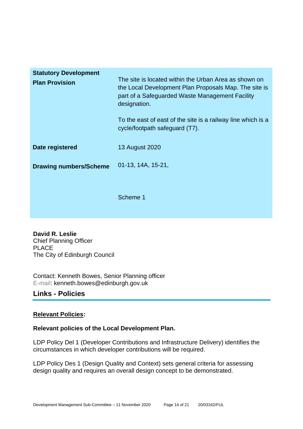| <b>Statutory Development</b><br><b>Plan Provision</b> | The site is located within the Urban Area as shown on<br>the Local Development Plan Proposals Map. The site is<br>part of a Safeguarded Waste Management Facility<br>designation.<br>To the east of east of the site is a railway line which is a<br>cycle/footpath safeguard (T7). |
|-------------------------------------------------------|-------------------------------------------------------------------------------------------------------------------------------------------------------------------------------------------------------------------------------------------------------------------------------------|
| Date registered                                       | 13 August 2020                                                                                                                                                                                                                                                                      |
| <b>Drawing numbers/Scheme</b>                         | 01-13, 14A, 15-21,                                                                                                                                                                                                                                                                  |
|                                                       | Scheme 1                                                                                                                                                                                                                                                                            |

**David R. Leslie** Chief Planning Officer PLACE The City of Edinburgh Council

Contact: Kenneth Bowes, Senior Planning officer E-mail: kenneth.bowes@edinburgh.gov.uk

## **Links - Policies**

#### **Relevant Policies:**

#### **Relevant policies of the Local Development Plan.**

LDP Policy Del 1 (Developer Contributions and Infrastructure Delivery) identifies the circumstances in which developer contributions will be required.

LDP Policy Des 1 (Design Quality and Context) sets general criteria for assessing design quality and requires an overall design concept to be demonstrated.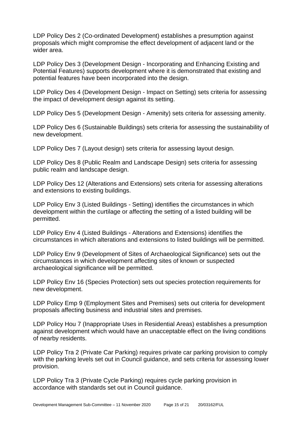LDP Policy Des 2 (Co-ordinated Development) establishes a presumption against proposals which might compromise the effect development of adjacent land or the wider area.

LDP Policy Des 3 (Development Design - Incorporating and Enhancing Existing and Potential Features) supports development where it is demonstrated that existing and potential features have been incorporated into the design.

LDP Policy Des 4 (Development Design - Impact on Setting) sets criteria for assessing the impact of development design against its setting.

LDP Policy Des 5 (Development Design - Amenity) sets criteria for assessing amenity.

LDP Policy Des 6 (Sustainable Buildings) sets criteria for assessing the sustainability of new development.

LDP Policy Des 7 (Layout design) sets criteria for assessing layout design.

LDP Policy Des 8 (Public Realm and Landscape Design) sets criteria for assessing public realm and landscape design.

LDP Policy Des 12 (Alterations and Extensions) sets criteria for assessing alterations and extensions to existing buildings.

LDP Policy Env 3 (Listed Buildings - Setting) identifies the circumstances in which development within the curtilage or affecting the setting of a listed building will be permitted.

LDP Policy Env 4 (Listed Buildings - Alterations and Extensions) identifies the circumstances in which alterations and extensions to listed buildings will be permitted.

LDP Policy Env 9 (Development of Sites of Archaeological Significance) sets out the circumstances in which development affecting sites of known or suspected archaeological significance will be permitted.

LDP Policy Env 16 (Species Protection) sets out species protection requirements for new development.

LDP Policy Emp 9 (Employment Sites and Premises) sets out criteria for development proposals affecting business and industrial sites and premises.

LDP Policy Hou 7 (Inappropriate Uses in Residential Areas) establishes a presumption against development which would have an unacceptable effect on the living conditions of nearby residents.

LDP Policy Tra 2 (Private Car Parking) requires private car parking provision to comply with the parking levels set out in Council guidance, and sets criteria for assessing lower provision.

LDP Policy Tra 3 (Private Cycle Parking) requires cycle parking provision in accordance with standards set out in Council guidance.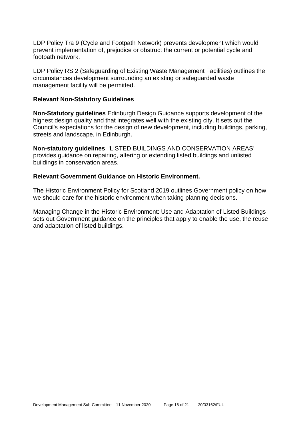LDP Policy Tra 9 (Cycle and Footpath Network) prevents development which would prevent implementation of, prejudice or obstruct the current or potential cycle and footpath network.

LDP Policy RS 2 (Safeguarding of Existing Waste Management Facilities) outlines the circumstances development surrounding an existing or safeguarded waste management facility will be permitted.

#### **Relevant Non-Statutory Guidelines**

**Non-Statutory guidelines** Edinburgh Design Guidance supports development of the highest design quality and that integrates well with the existing city. It sets out the Council's expectations for the design of new development, including buildings, parking, streets and landscape, in Edinburgh.

**Non-statutory guidelines** 'LISTED BUILDINGS AND CONSERVATION AREAS' provides guidance on repairing, altering or extending listed buildings and unlisted buildings in conservation areas.

#### **Relevant Government Guidance on Historic Environment.**

The Historic Environment Policy for Scotland 2019 outlines Government policy on how we should care for the historic environment when taking planning decisions.

Managing Change in the Historic Environment: Use and Adaptation of Listed Buildings sets out Government guidance on the principles that apply to enable the use, the reuse and adaptation of listed buildings.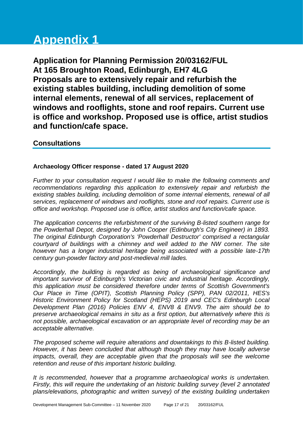# **Appendix 1**

**Application for Planning Permission 20/03162/FUL At 165 Broughton Road, Edinburgh, EH7 4LG Proposals are to extensively repair and refurbish the existing stables building, including demolition of some internal elements, renewal of all services, replacement of windows and rooflights, stone and roof repairs. Current use is office and workshop. Proposed use is office, artist studios and function/cafe space.**

## **Consultations**

#### **Archaeology Officer response - dated 17 August 2020**

*Further to your consultation request I would like to make the following comments and recommendations regarding this application to extensively repair and refurbish the existing stables building, including demolition of some internal elements, renewal of all services, replacement of windows and rooflights, stone and roof repairs. Current use is office and workshop. Proposed use is office, artist studios and function/cafe space.*

*The application concerns the refurbishment of the surviving B-listed southern range for the Powderhall Depot, designed by John Cooper (Edinburgh's City Engineer) in 1893. The original Edinburgh Corporation's 'Powderhall Destructor' comprised a rectangular courtyard of buildings with a chimney and well added to the NW corner. The site however has a longer industrial heritage being associated with a possible late-17th century gun-powder factory and post-medieval mill lades.* 

*Accordingly, the building is regarded as being of archaeological significance and important survivor of Edinburgh's Victorian civic and industrial heritage. Accordingly, this application must be considered therefore under terms of Scottish Government's Our Place in Time (OPIT), Scottish Planning Policy (SPP), PAN 02/2011, HES's Historic Environment Policy for Scotland (HEPS) 2019 and CEC's Edinburgh Local Development Plan (2016) Policies ENV 4, ENV8 & ENV9. The aim should be to preserve archaeological remains in situ as a first option, but alternatively where this is not possible, archaeological excavation or an appropriate level of recording may be an acceptable alternative.*

*The proposed scheme will require alterations and downtakings to this B-listed building. However, it has been concluded that although though they may have locally adverse impacts, overall, they are acceptable given that the proposals will see the welcome retention and reuse of this important historic building.* 

*It is recommended, however that a programme archaeological works is undertaken. Firstly, this will require the undertaking of an historic building survey (level 2 annotated plans/elevations, photographic and written survey) of the existing building undertaken*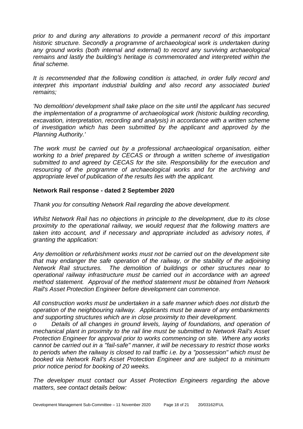*prior to and during any alterations to provide a permanent record of this important historic structure. Secondly a programme of archaeological work is undertaken during any ground works (both internal and external) to record any surviving archaeological remains and lastly the building's heritage is commemorated and interpreted within the final scheme.* 

*It is recommended that the following condition is attached, in order fully record and interpret this important industrial building and also record any associated buried remains;*

*'No demolition/ development shall take place on the site until the applicant has secured the implementation of a programme of archaeological work (historic building recording, excavation, interpretation, recording and analysis) in accordance with a written scheme of investigation which has been submitted by the applicant and approved by the Planning Authority.'* 

*The work must be carried out by a professional archaeological organisation, either working to a brief prepared by CECAS or through a written scheme of investigation submitted to and agreed by CECAS for the site. Responsibility for the execution and resourcing of the programme of archaeological works and for the archiving and appropriate level of publication of the results lies with the applicant.*

#### **Network Rail response - dated 2 September 2020**

*Thank you for consulting Network Rail regarding the above development.* 

*Whilst Network Rail has no objections in principle to the development, due to its close proximity to the operational railway, we would request that the following matters are taken into account, and if necessary and appropriate included as advisory notes, if granting the application:*

*Any demolition or refurbishment works must not be carried out on the development site that may endanger the safe operation of the railway, or the stability of the adjoining Network Rail structures. The demolition of buildings or other structures near to operational railway infrastructure must be carried out in accordance with an agreed method statement. Approval of the method statement must be obtained from Network Rail's Asset Protection Engineer before development can commence.*

*All construction works must be undertaken in a safe manner which does not disturb the operation of the neighbouring railway. Applicants must be aware of any embankments and supporting structures which are in close proximity to their development.* 

*o Details of all changes in ground levels, laying of foundations, and operation of mechanical plant in proximity to the rail line must be submitted to Network Rail's Asset Protection Engineer for approval prior to works commencing on site. Where any works cannot be carried out in a "fail-safe" manner, it will be necessary to restrict those works to periods when the railway is closed to rail traffic i.e. by a "possession" which must be booked via Network Rail's Asset Protection Engineer and are subject to a minimum prior notice period for booking of 20 weeks.*

*The developer must contact our Asset Protection Engineers regarding the above matters, see contact details below:*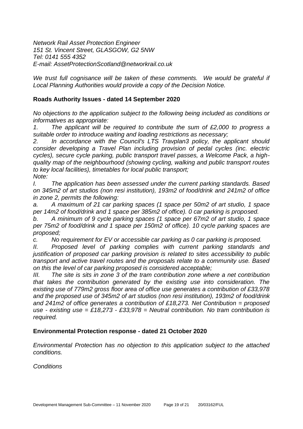*Network Rail Asset Protection Engineer 151 St. Vincent Street, GLASGOW, G2 5NW Tel: 0141 555 4352 E-mail: AssetProtectionScotland@networkrail.co.uk*

We trust full cognisance will be taken of these comments. We would be grateful if *Local Planning Authorities would provide a copy of the Decision Notice.*

#### **Roads Authority Issues - dated 14 September 2020**

*No objections to the application subject to the following being included as conditions or informatives as appropriate:*

*1. The applicant will be required to contribute the sum of £2,000 to progress a suitable order to introduce waiting and loading restrictions as necessary;*

*2. In accordance with the Council's LTS Travplan3 policy, the applicant should consider developing a Travel Plan including provision of pedal cycles (inc. electric cycles), secure cycle parking, public transport travel passes, a Welcome Pack, a highquality map of the neighbourhood (showing cycling, walking and public transport routes to key local facilities), timetables for local public transport; Note:*

*I. The application has been assessed under the current parking standards. Based on 345m2 of art studios (non resi institution), 193m2 of food/drink and 241m2 of office in zone 2, permits the following:*

*a. A maximum of 21 car parking spaces (1 space per 50m2 of art studio, 1 space per 14m2 of food/drink and 1 space per 385m2 of office). 0 car parking is proposed.*

*b. A minimum of 9 cycle parking spaces (1 space per 67m2 of art studio, 1 space per 75m2 of food/drink and 1 space per 150m2 of office). 10 cycle parking spaces are proposed;*

*c. No requirement for EV or accessible car parking as 0 car parking is proposed.*

*II. Proposed level of parking complies with current parking standards and justification of proposed car parking provision is related to sites accessibility to public transport and active travel routes and the proposals relate to a community use. Based on this the level of car parking proposed is considered acceptable;*

*III. The site is sits in zone 3 of the tram contribution zone where a net contribution that takes the contribution generated by the existing use into consideration. The existing use of 779m2 gross floor area of office use generates a contribution of £33,978 and the proposed use of 345m2 of art studios (non resi institution), 193m2 of food/drink and 241m2 of office generates a contribution of £18,273. Net Contribution = proposed use - existing use = £18,273 - £33,978 = Neutral contribution. No tram contribution is required.*

#### **Environmental Protection response - dated 21 October 2020**

*Environmental Protection has no objection to this application subject to the attached conditions.*

*Conditions*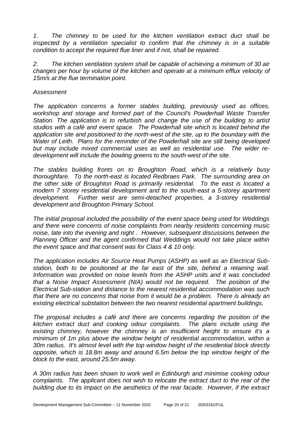*1. The chimney to be used for the kitchen ventilation extract duct shall be inspected by a ventilation specialist to confirm that the chimney is in a suitable condition to accept the required flue liner and if not, shall be repaired.*

*2. The kitchen ventilation system shall be capable of achieving a minimum of 30 air changes per hour by volume of the kitchen and operate at a minimum efflux velocity of 15m/s at the flue termination point.*

#### *Assessment*

*The application concerns a former stables building, previously used as offices, workshop and storage and formed part of the Council's Powderhall Waste Transfer Station. The application is to refurbish and change the use of the building to artist studios with a café and event space. The Powderhall site which is located behind the application site and positioned to the north-west of the site, up to the boundary with the Water of Leith. Plans for the reminder of the Powderhall site are still being developed but may include mixed commercial uses as well as residential use. The wider redevelopment will include the bowling greens to the south-west of the site.* 

*The stables building fronts on to Broughton Road, which is a relatively busy thoroughfare. To the north-east is located Redbraes Park. The surrounding area on the other side of Broughton Road is primarily residential. To the east is located a modern 7 storey residential development and to the south-east a 5-storey apartment development. Further west are semi-detached properties, a 3-storey residential development and Broughton Primary School.*

*The initial proposal included the possibility of the event space being used for Weddings and there were concerns of noise complaints from nearby residents concerning music noise, late into the evening and night . However, subsequent discussions between the Planning Officer and the agent confirmed that Weddings would not take place within the event space and that consent was for Class 4 & 10 only.* 

*The application includes Air Source Heat Pumps (ASHP) as well as an Electrical Substation, both to be positioned at the far east of the site, behind a retaining wall. Information was provided on noise levels from the ASHP units and it was concluded that a Noise Impact Assessment (NIA) would not be required. The position of the Electrical Sub-station and distance to the nearest residential accommodation was such that there are no concerns that noise from it would be a problem. There is already an existing electrical substation between the two nearest residential apartment buildings.*

*The proposal includes a café and there are concerns regarding the position of the kitchen extract duct and cooking odour complaints. The plans include using the existing chimney, however the chimney is an insufficient height to ensure it's a minimum of 1m plus above the window height of residential accommodation, within a 30m radius. It's almost level with the top window height of the residential block directly opposite, which is 18.8m away and around 6.5m below the top window height of the block to the east, around 25.5m away.* 

*A 30m radius has been shown to work well in Edinburgh and minimise cooking odour complaints. The applicant does not wish to relocate the extract duct to the rear of the building due to its impact on the aesthetics of the rear facade. However, if the extract*